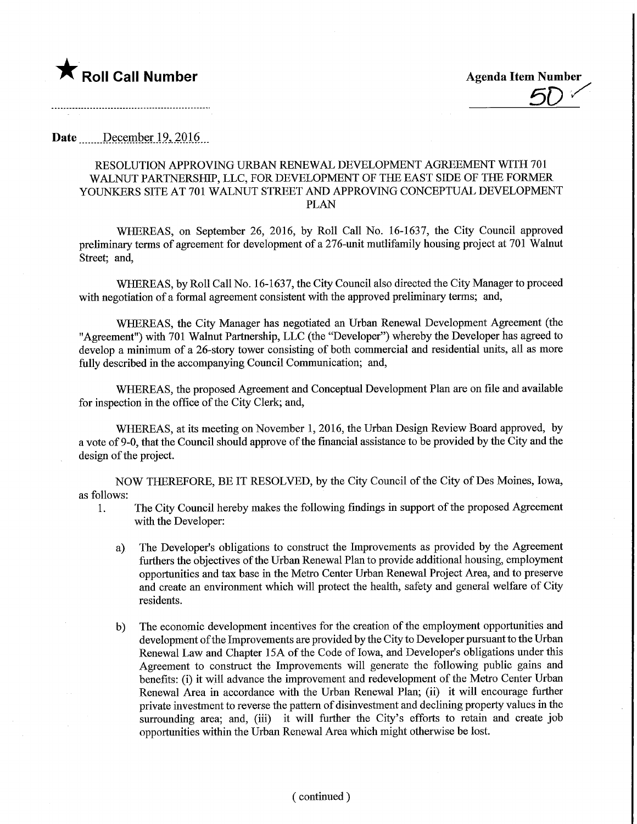

Date December 19, 2016

## RESOLUTION APPROVING URBAN RENEWAL DEVELOPMENT AGREEMENT WITH 701 WALNUT PARTNERSHIP, LLC, FOR DEVELOPMENT OF THE EAST SIDE OF THE FORMER YOUNKERS SITE AT 701 WALNUT STREET AND APPROVING CONCEPTUAL DEVELOPMENT PLAN

WHEREAS, on September 26, 2016, by Roll Call No. 16-1637, the City Council approved preliminary terms of agreement for development of a 276-unit mutlifamily housing project at 701 Walnut Street; and,

WHEREAS, by Roll Call No. 16-1637, the City Council also directed the City Manager to proceed with negotiation of a formal agreement consistent with the approved preliminary terms; and,

WHEREAS, the City Manager has negotiated an Urban Renewal Development Agreement (the "Agreement") with 701 Walnut Partnership, LLC (the "Developer") whereby the Developer has agreed to develop a minimum of a 26-story tower consisting of both commercial and residential units, all as more fully described in the accompanying Council Communication; and,

WHEREAS, the proposed Agreement and Conceptual Development Plan are on file and available for inspection in the office of the City Clerk; and,

WHEREAS, at its meeting on November 1, 2016, the Urban Design Review Board approved, by a vote of 9-0, that the Council should approve of the fmancial assistance to be provided by the City and the design of the project.

NOW THEREFORE, BE IT RESOLVED, by the City Council of the City of Des Moines, Iowa, as follows:

- 1. The City Council hereby makes the following findings in support of the proposed Agreement with the Developer:
	- a) The Developer's obligations to construct the Improvements as provided by the Agreement furthers the objectives of the Urban Renewal Plan to provide additional housing, employment opportunities and tax base in the Metro Center Urban Renewal Project Area, and to preserve and create an environment which will protect the health, safety and general welfare of City residents.
	- b) The economic development incentives for the creation of the employment opportunities and development of the Improvements are provided by the City to Developer pursuant to the Urban Renewal Law and Chapter 15A of the Code of Iowa, and Developer's obligations under this Agreement to construct the Improvements will generate the following public gains and benefits: (i) it will advance the improvement and redevelopment of the Metro Center Urban Renewal Area in accordance with the Urban Renewal Plan; (ii) it will encourage further private investment to reverse the pattern of disinvestment and declining property values in the surrounding area; and, (iii) it will further the City's efforts to retain and create job opportunities within the Urban Renewal Area which might otherwise be lost.